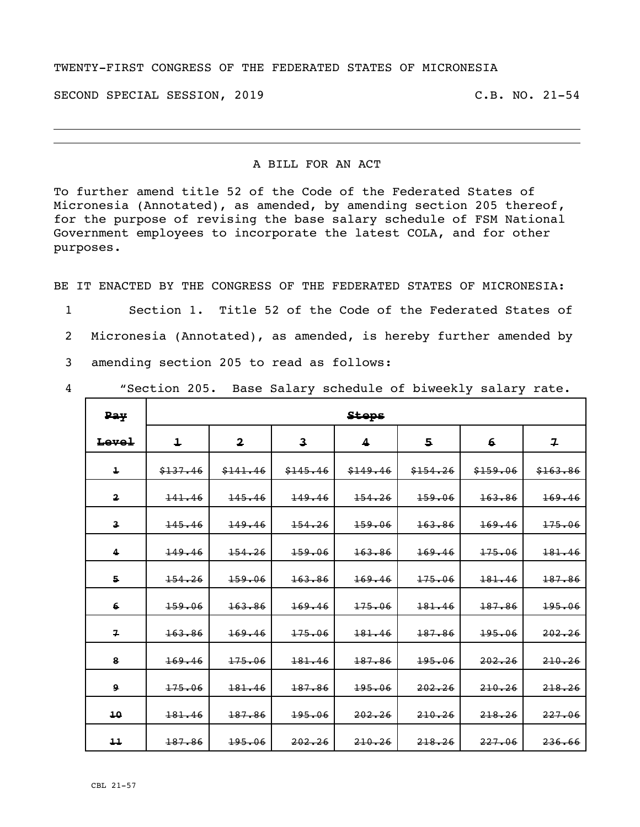## TWENTY-FIRST CONGRESS OF THE FEDERATED STATES OF MICRONESIA

SECOND SPECIAL SESSION, 2019 C.B. NO. 21-54

## A BILL FOR AN ACT

To further amend title 52 of the Code of the Federated States of Micronesia (Annotated), as amended, by amending section 205 thereof, for the purpose of revising the base salary schedule of FSM National Government employees to incorporate the latest COLA, and for other purposes.

BE IT ENACTED BY THE CONGRESS OF THE FEDERATED STATES OF MICRONESIA:

- 1 Section 1. Title 52 of the Code of the Federated States of
- 2 Micronesia (Annotated), as amended, is hereby further amended by
- 3 amending section 205 to read as follows:
- 

4 "Section 205. Base Salary schedule of biweekly salary rate.

| <b>Pay</b>              |            |                         |                         | <b>Steps</b> |          |          |                |
|-------------------------|------------|-------------------------|-------------------------|--------------|----------|----------|----------------|
| Level                   | $\ddagger$ | $\overline{\mathbf{2}}$ | $\overline{\mathbf{3}}$ | 4            | 5        | 6        | $\overline{r}$ |
| $\overline{\mathbf{1}}$ | \$137.46   | \$141.46                | \$145.46                | \$149.46     | \$154.26 | \$159.06 | \$163.86       |
| $\overline{\mathbf{2}}$ | 141.46     | 145.46                  | 149.46                  | 154.26       | 159.06   | 163.86   | 169.46         |
| $\overline{\mathbf{3}}$ | 145.46     | 149.46                  | 154.26                  | 159.06       | 163.86   | 169.46   | 175.06         |
| 4                       | 149.46     | 154.26                  | 159.06                  | 163.86       | 169.46   | 175.06   | 181.46         |
| 5                       | 154.26     | 159.06                  | 163.86                  | 169.46       | 175.06   | 181.46   | 187.86         |
| 6                       | 159.06     | 163.86                  | 169.46                  | 175.06       | 181.46   | 187.86   | 195.06         |
| $\overline{\mathbf{z}}$ | 163.86     | 169.46                  | 175.06                  | 181.46       | 187.86   | 195.06   | 202.26         |
| 8                       | 169.46     | 175.06                  | 181.46                  | 187.86       | 195.06   | 202.26   | 210.26         |
| Q                       | 175.06     | 181.46                  | 187.86                  | 195.06       | 202.26   | 210.26   | 218,26         |
| 10                      | 181.46     | 187.86                  | 195.06                  | 202.26       | 210.26   | 218.26   | 227.06         |
| 11                      | 187.86     | 195.06                  | 202.26                  | 210.26       | 218, 26  | 227.06   | 236.66         |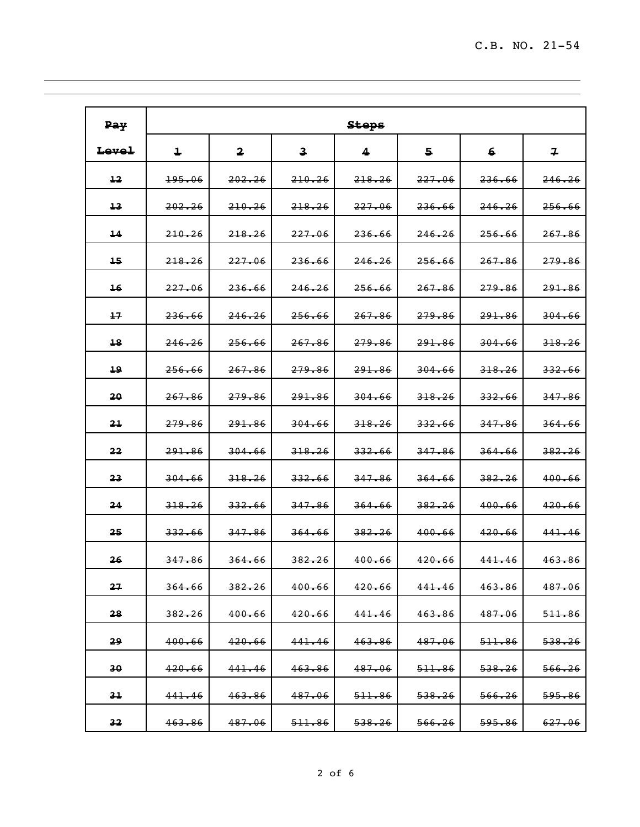| Pay             |                   |                         |                         | <b>Stops</b>      |                   |                   |                   |
|-----------------|-------------------|-------------------------|-------------------------|-------------------|-------------------|-------------------|-------------------|
| Level           | 1                 | $\overline{\mathbf{2}}$ | $\overline{\mathbf{3}}$ | 4                 | 5                 | 6                 | 7                 |
| 12              | 195.06            | 202.26                  | 210.26                  | 218.26            | 227.06            | 236.66            | 246.26            |
| 13              | 202, 26           | 210.26                  | 218.26                  | 227.06            | 236.66            | 246.26            | 256.66            |
| 14              | 210.26            | 218.26                  | 227.06                  | 236.66            | 246.26            | 256.66            | 267.86            |
| 15              | 218.26            | 227.06                  | 236.66                  | 246.26            | 256.66            | 267.86            | <del>279.86</del> |
| 16              | 227.06            | 236.66                  | 246.26                  | 256.66            | 267.86            | 279.86            | 291.86            |
| 17              | 236.66            | 246.26                  | 256.66                  | 267.86            | 279.86            | 291.86            | 304.66            |
| 18              | 246.26            | 256.66                  | 267.86                  | 279.86            | <del>291.86</del> | 304.66            | 318.26            |
| 19              | 256.66            | 267.86                  | 279.86                  | 291.86            | 304.66            | 318, 26           | 332.66            |
| 20              | 267.86            | 279.86                  | 291.86                  | 304.66            | 318.26            | 332.66            | 347.86            |
| 21              | <del>279.86</del> | 291.86                  | 304.66                  | 318.26            | 332.66            | 347.86            | 364.66            |
| 22              | 291.86            | 304.66                  | 318.26                  | 332.66            | 347.86            | 364.66            | 382, 26           |
| 23              | 304.66            | 318.26                  | <del>332.66</del>       | 347.86            | 364.66            | 382.26            | 400.66            |
| 24              | 318.26            | 332.66                  | 347.86                  | 364.66            | 382.26            | 400.66            | 420.66            |
| 25              | 332.66            | 347.86                  | 364.66                  | 382.26            | 400.66            | 420.66            | 441.46            |
| 26              | 347.86            | 364.66                  | 382.26                  | 400.66            | 420.66            | 441.46            | 463.86            |
| 27              | 364.66            | 382.26                  | 400.66                  | 420.66            | 441.46            | 463.86            | 487.06            |
| 28              | 382.26            | 400.66                  | 420.66                  | 441.46            | 463.86            | 487.06            | <del>511.86</del> |
| 29              | 400.66            | 420.66                  | 441.46                  | 463.86            | 487.06            | <del>511.86</del> | <del>538.26</del> |
| 30              | 420.66            | 441.46                  | 463.86                  | 487.06            | 511.86            | 538.26            | 566.26            |
| 31              | 441.46            | 463.86                  | 487.06                  | <del>511.86</del> | 538, 26           | 566.26            | <del>595.86</del> |
| 32 <sub>2</sub> | 463.86            | 487.06                  | <del>511.86</del>       | <del>538.26</del> | 566.26            | <del>595.86</del> | <del>627.06</del> |

<u> 1989 - Johann Stoff, amerikan bestemanns foar it ferskearre fan de ferskearre fan de ferskearre fan de ferske</u>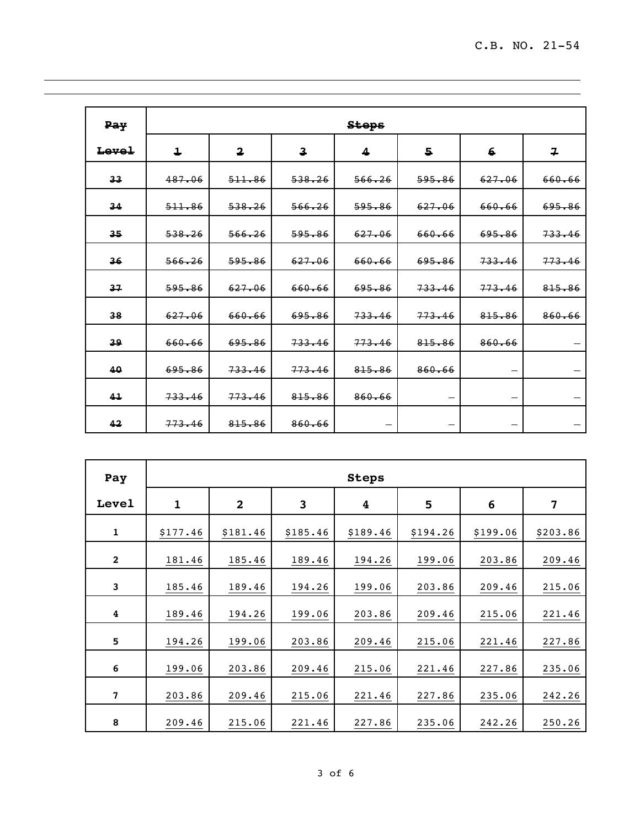| Pay            |            |                         |                         | <b>Steps</b> |        |        |                          |
|----------------|------------|-------------------------|-------------------------|--------------|--------|--------|--------------------------|
| Level          | $\ddagger$ | $\overline{\mathbf{2}}$ | $\overline{\mathbf{3}}$ | 4            | 5      | 6      | $\overline{r}$           |
| 33             | 487.06     | 511.86                  | 538, 26                 | 566.26       | 595.86 | 627.06 | 660.66                   |
| 34             | 511.86     | 538, 26                 | 566.26                  | 595.86       | 627.06 | 660.66 | 695.86                   |
| 35             | 538, 26    | 566.26                  | 595.86                  | 627.06       | 660.66 | 695.86 | 733.46                   |
| 36             | 566.26     | 595.86                  | 627.06                  | 660.66       | 695.86 | 733.46 | 773.46                   |
| 37             | 595.86     | 627.06                  | 660.66                  | 695.86       | 733.46 | 773.46 | 815.86                   |
| 38             | 627.06     | 660.66                  | 695.86                  | 733.46       | 773.46 | 815.86 | 860.66                   |
| 39             | 660.66     | 695.86                  | 733.46                  | 773.46       | 815.86 | 860.66 |                          |
| 40             | 695.86     | 733.46                  | 773.46                  | 815.86       | 860.66 |        |                          |
| 4 <sub>1</sub> | 733.46     | 773.46                  | 815.86                  | 860.66       |        |        | $\overline{\phantom{0}}$ |
| 42             | 773.46     | 815.86                  | 860.66                  |              |        |        |                          |

<u> 1989 - Johann Stoff, amerikansk politiker (d. 1989)</u>

| Pay                     |              |              |          | <b>Steps</b>            |          |          |          |
|-------------------------|--------------|--------------|----------|-------------------------|----------|----------|----------|
| Level                   | $\mathbf{1}$ | $\mathbf{2}$ | 3        | $\overline{\mathbf{4}}$ | 5        | 6        | 7        |
| $\mathbf 1$             | \$177.46     | \$181.46     | \$185.46 | \$189.46                | \$194.26 | \$199.06 | \$203.86 |
| $\mathbf{2}$            | 181.46       | 185.46       | 189.46   | 194.26                  | 199.06   | 203.86   | 209.46   |
| 3                       | 185.46       | 189.46       | 194.26   | 199.06                  | 203.86   | 209.46   | 215.06   |
| 4                       | 189.46       | 194.26       | 199.06   | 203.86                  | 209.46   | 215.06   | 221.46   |
| $\overline{\mathbf{5}}$ | 194.26       | 199.06       | 203.86   | 209.46                  | 215.06   | 221.46   | 227.86   |
| 6                       | 199.06       | 203.86       | 209.46   | 215.06                  | 221.46   | 227.86   | 235.06   |
| 7                       | 203.86       | 209.46       | 215.06   | 221.46                  | 227.86   | 235.06   | 242.26   |
| 8                       | 209.46       | 215.06       | 221.46   | 227.86                  | 235.06   | 242.26   | 250.26   |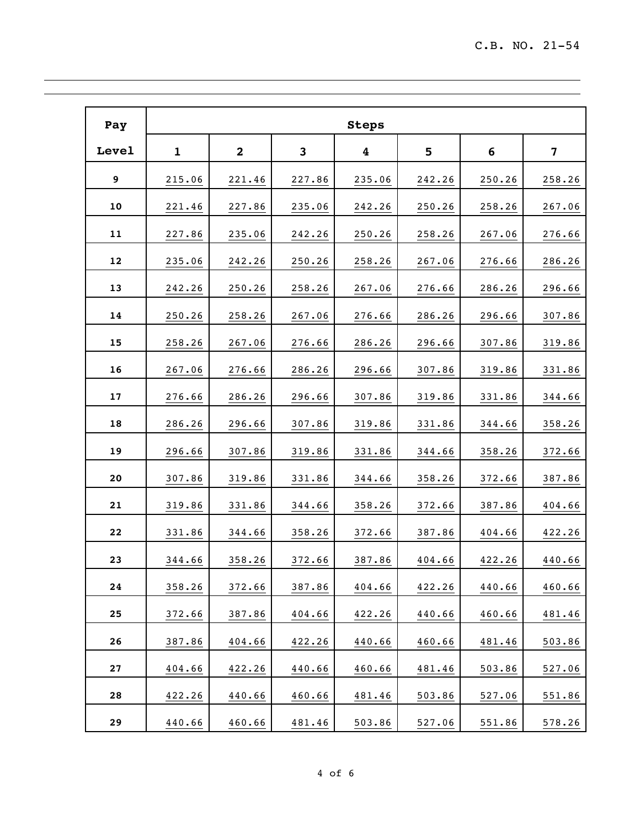| Pay   |             |                |        | <b>Steps</b> |        |        |        |
|-------|-------------|----------------|--------|--------------|--------|--------|--------|
| Level | $\mathbf 1$ | $\overline{2}$ | 3      | 4            | 5      | 6      | 7      |
| 9     | 215.06      | 221.46         | 227.86 | 235.06       | 242.26 | 250.26 | 258.26 |
| 10    | 221.46      | 227.86         | 235.06 | 242.26       | 250.26 | 258.26 | 267.06 |
| 11    | 227.86      | 235.06         | 242.26 | 250.26       | 258.26 | 267.06 | 276.66 |
| 12    | 235.06      | 242.26         | 250.26 | 258.26       | 267.06 | 276.66 | 286.26 |
| 13    | 242.26      | 250.26         | 258.26 | 267.06       | 276.66 | 286.26 | 296.66 |
| 14    | 250.26      | 258.26         | 267.06 | 276.66       | 286.26 | 296.66 | 307.86 |
| 15    | 258.26      | 267.06         | 276.66 | 286.26       | 296.66 | 307.86 | 319.86 |
| 16    | 267.06      | 276.66         | 286.26 | 296.66       | 307.86 | 319.86 | 331.86 |
| 17    | 276.66      | 286.26         | 296.66 | 307.86       | 319.86 | 331.86 | 344.66 |
| 18    | 286.26      | 296.66         | 307.86 | 319.86       | 331.86 | 344.66 | 358.26 |
| 19    | 296.66      | 307.86         | 319.86 | 331.86       | 344.66 | 358.26 | 372.66 |
| 20    | 307.86      | 319.86         | 331.86 | 344.66       | 358.26 | 372.66 | 387.86 |
| 21    | 319.86      | 331.86         | 344.66 | 358.26       | 372.66 | 387.86 | 404.66 |
| 22    | 331.86      | 344.66         | 358.26 | 372.66       | 387.86 | 404.66 | 422.26 |
| 23    | 344.66      | 358.26         | 372.66 | 387.86       | 404.66 | 422.26 | 440.66 |
| 24    | 358.26      | 372.66         | 387.86 | 404.66       | 422.26 | 440.66 | 460.66 |
| 25    | 372.66      | 387.86         | 404.66 | 422.26       | 440.66 | 460.66 | 481.46 |
| 26    | 387.86      | 404.66         | 422.26 | 440.66       | 460.66 | 481.46 | 503.86 |
| 27    | 404.66      | 422.26         | 440.66 | 460.66       | 481.46 | 503.86 | 527.06 |
| 28    | 422.26      | 440.66         | 460.66 | 481.46       | 503.86 | 527.06 | 551.86 |
| 29    | 440.66      | 460.66         | 481.46 | 503.86       | 527.06 | 551.86 | 578.26 |

<u> 1989 - Johann Stoff, amerikansk politiker (d. 1989)</u>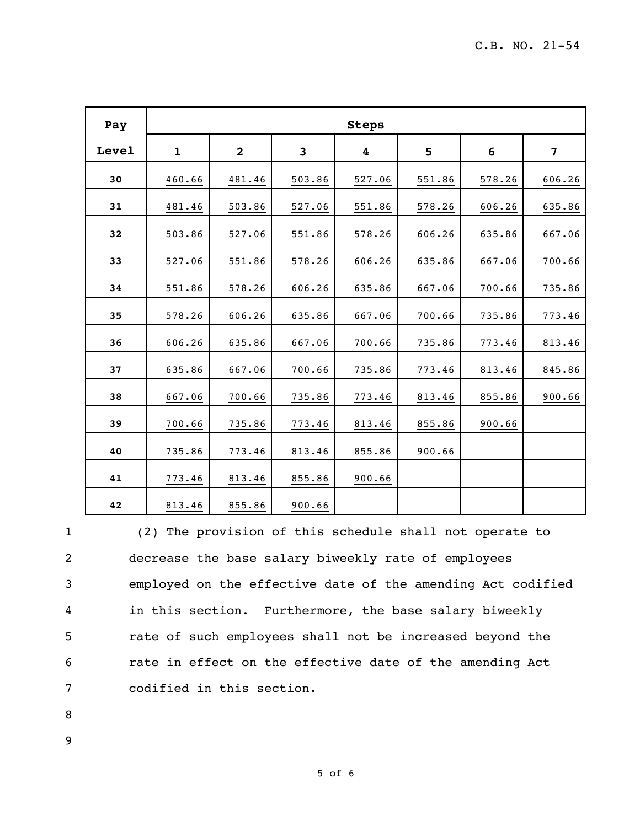| Pay   |              |                |                | <b>Steps</b> |        |        |        |
|-------|--------------|----------------|----------------|--------------|--------|--------|--------|
| Level | $\mathbf{1}$ | $\overline{2}$ | $\overline{3}$ | 4            | 5      | 6      | 7      |
| 30    | 460.66       | 481.46         | 503.86         | 527.06       | 551.86 | 578.26 | 606.26 |
| 31    | 481.46       | 503.86         | 527.06         | 551.86       | 578.26 | 606.26 | 635.86 |
| 32    | 503.86       | 527.06         | 551.86         | 578.26       | 606.26 | 635.86 | 667.06 |
| 33    | 527.06       | 551.86         | 578.26         | 606.26       | 635.86 | 667.06 | 700.66 |
| 34    | 551.86       | 578.26         | 606.26         | 635.86       | 667.06 | 700.66 | 735.86 |
| 35    | 578.26       | 606.26         | 635.86         | 667.06       | 700.66 | 735.86 | 773.46 |
| 36    | 606.26       | 635.86         | 667.06         | 700.66       | 735.86 | 773.46 | 813.46 |
| 37    | 635.86       | 667.06         | 700.66         | 735.86       | 773.46 | 813.46 | 845.86 |
| 38    | 667.06       | 700.66         | 735.86         | 773.46       | 813.46 | 855.86 | 900.66 |
| 39    | 700.66       | 735.86         | 773.46         | 813.46       | 855.86 | 900.66 |        |
| 40    | 735.86       | 773.46         | 813.46         | 855.86       | 900.66 |        |        |
| 41    | 773.46       | 813.46         | 855.86         | 900.66       |        |        |        |
| 42    | 813.46       | 855.86         | 900.66         |              |        |        |        |

 (2) The provision of this schedule shall not operate to decrease the base salary biweekly rate of employees employed on the effective date of the amending Act codified in this section. Furthermore, the base salary biweekly rate of such employees shall not be increased beyond the rate in effect on the effective date of the amending Act codified in this section.

- 
-